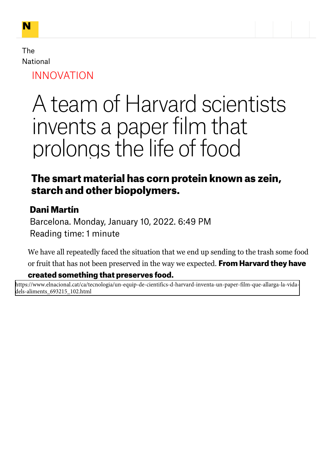N

#### The **National**

# INNOVATION

# A team of Harvard scientists invents a paper film that [prolo](https://www.elnacional.cat/)ngs the life of food

# The smart material has corn protein known as zein, starch and other biopolymers.

## Dani Martín

Barcelona. Monday, January 10, 2022. 6:49 PM Reading time: 1 minute

We have all repeatedly faced the situation that we end up sending to the trash some food or fruit that has not been preserved in the way we expected. **From Harvard they have** 

### created something that preserves food.

[https://www.elnacional.cat/ca/tecnologia/un-equip-de-cientifics-d-harvard-inventa-un-paper-film-que-allarga-la-vida](https://www.elnacional.cat/ca/tecnologia/un-equip-de-cientifics-d-harvard-inventa-un-paper-film-que-allarga-la-vida-dels-aliments_693215_102.html)dels-aliments\_693215\_102.html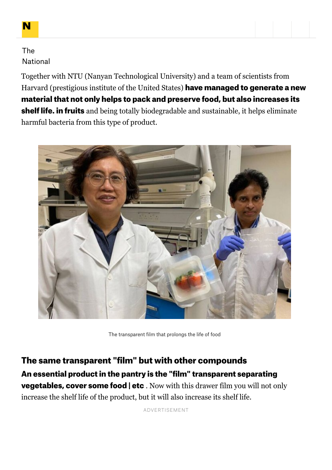Together with NTU (Nanyan Technological University) and a team of scientists from Harvard (prestigious institute of the United States) have managed to generate a new material that not only helps to pack and preserve food, but also increases its shelf life. in fruits and being totally biodegradable and sustainable, it helps eliminate harmful bacteria from this type of product.



The transparent film that prolongs the life of food

[The same tra](https://www.elnacional.cat/)nsparent "film" but with other compounds An essential product in the pantry is the "film" transparent separating vegetables, cover some food | etc. Now with this drawer film you will not only increase the shelf life of the product, but it will also increase its shelf life.

ADVERTISEMENT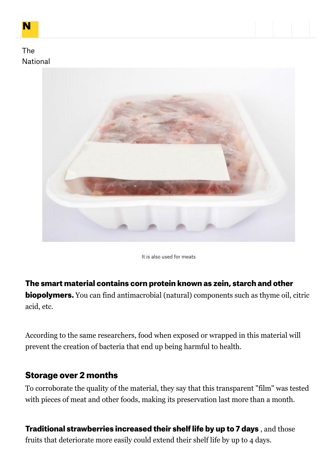



It is also used for meats

## The smart material contains corn protein known as zein, starch and other

**biopolymers.** You can find antimacrobial (natural) components such as thyme oil, citric acid, etc.

According to the same researchers, food when exposed or wrapped in this material will prevent the creation of bacteria that end up being harmful to health.

## [Storage ove](https://www.elnacional.cat/)r 2 months

To corroborate the quality of the material, they say that this transparent "film" was tested with pieces of meat and other foods, making its preservation last more than a month.

Traditional strawberries increased their shelf life by up to 7 days , and those fruits that deteriorate more easily could extend their shelf life by up to 4 days.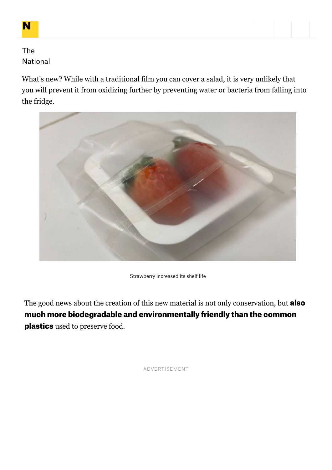What's new? While with a traditional film you can cover a salad, it is very unlikely that [you will preven](https://www.elnacional.cat/)t it from oxidizing further by preventing water or bacteria from falling into the fridge.



Strawberry increased its shelf life

The good news about the creation of this new material is not only conservation, but **also** much more biodegradable and environmentally friendly than the common plastics used to preserve food.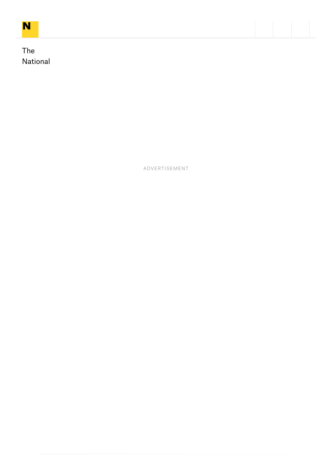

ADVERTISEMENT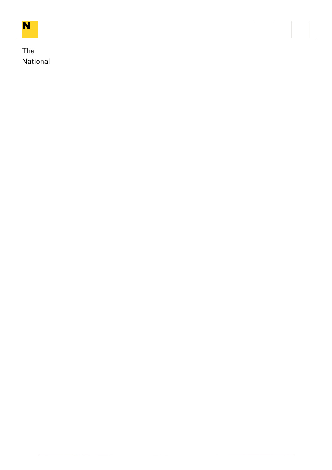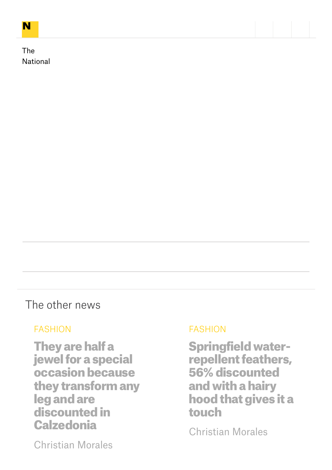

# [The other](https://www.elnacional.cat/) news

## FASHION

They are half a jewel for a special occasion because [they transform any](https://www.elnacional.cat/ca/consum/son-mitges-joia-per-a-una-ocasio-especial-perque-transformen-qualsevol-cama-i-estan-rebaixades-a-calzedonia_693296_102.html) leg and are discounted in **Calzedonia** 

Christian Morales

## FASHION

Springfield waterrepellent feathers, 56% discounted and with a hairy [hood that gives it a](https://www.elnacional.cat/ca/consum/plomes-repel-lent-a-l-aigua-de-springfield-rebaixat-al-56-i-amb-caputxa-de-pel-que-li-dona-un-toc-de-glamur_693293_102.html) touch

Christian Morales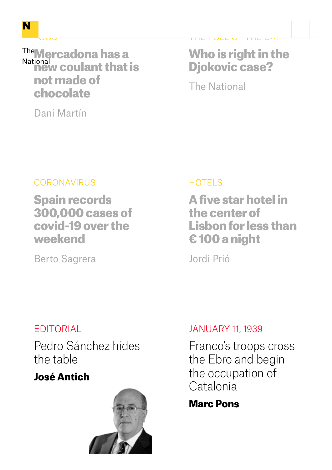r<mark>ood</mark>i

[M](https://www.elnacional.cat/)[ercadona](https://www.elnacional.cat/ca/consum/mercadona-te-un-nou-coulant-que-no-esta-fet-de-xocolata_693266_102.html) has a new coulant that is not made of chocolate The National

Dani Martín

# Who is right in the [Djokovic](https://www.elnacional.cat/ca/enquestes/rao-cas-djokovic_693110_102.html) case?

THE POLL OF THE DAY

The National

# **CORONAVIRUS**

Spain records 300,000 cases of covid-19 over the weekend

Berto Sagrera

# EDITORIAL

Pedro [Sánchez](https://www.elnacional.cat/ca/editorial/jose-antich-pedro-sanchez-amaga-la-taula_693263_102.html) hides the table

# José Antich



# HOTELS

A five star hotel in the center of [Lisbon](https://www.elnacional.cat/ca/consum/un-cinc-estrelles-en-el-centre-de-lisboa-per-menys-de-100-la-nit_693248_102.html) for less than € 100 a night

Jordi Prió

# JANUARY 11, 1939

Franco's troops cross the Ebro and begin the [occupation](https://www.elnacional.cat/ca/efemerides/marc-pons-tropes-franquistes-ebre-ocupacio-catalunya_693269_102.html) of Catalonia

Marc Pons